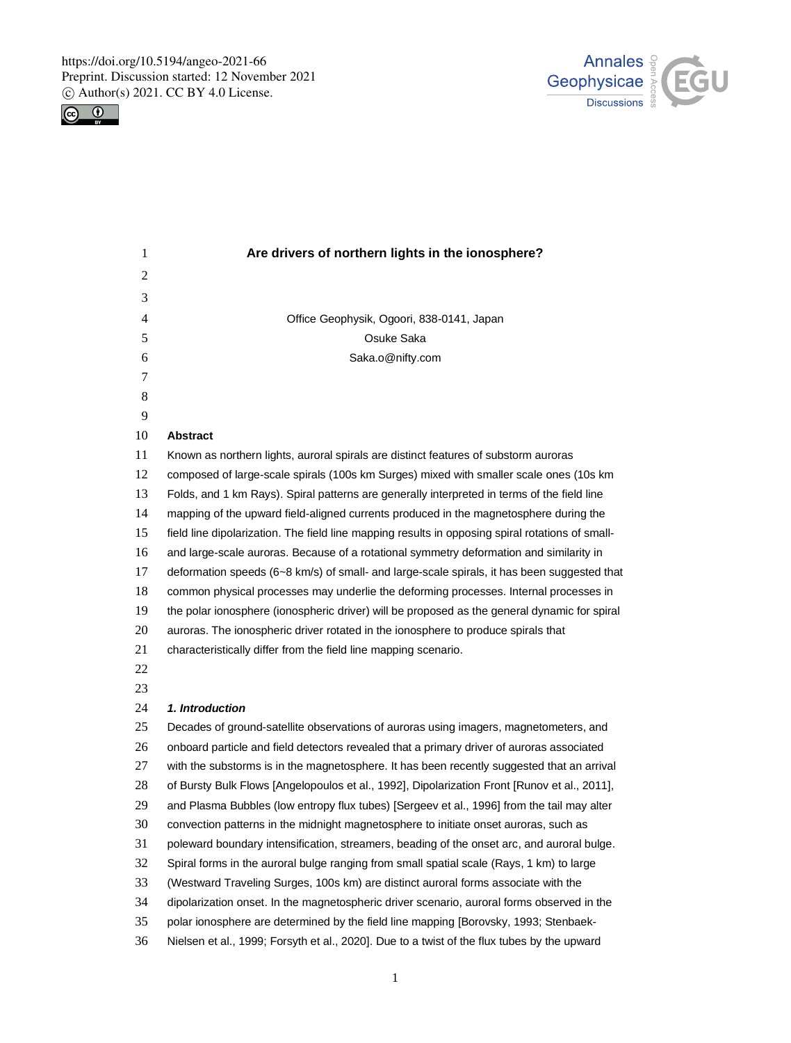https://doi.org/10.5194/angeo-2021-66 Preprint. Discussion started: 12 November 2021  $\circled{c}$  Author(s) 2021. CC BY 4.0 License.<br> $\circled{c}$ 





| 1  | Are drivers of northern lights in the ionosphere?                                                |
|----|--------------------------------------------------------------------------------------------------|
| 2  |                                                                                                  |
| 3  |                                                                                                  |
| 4  | Office Geophysik, Ogoori, 838-0141, Japan                                                        |
| 5  | Osuke Saka                                                                                       |
| 6  | Saka.o@nifty.com                                                                                 |
| 7  |                                                                                                  |
| 8  |                                                                                                  |
| 9  |                                                                                                  |
| 10 | <b>Abstract</b>                                                                                  |
| 11 | Known as northern lights, auroral spirals are distinct features of substorm auroras              |
| 12 | composed of large-scale spirals (100s km Surges) mixed with smaller scale ones (10s km           |
| 13 | Folds, and 1 km Rays). Spiral patterns are generally interpreted in terms of the field line      |
| 14 | mapping of the upward field-aligned currents produced in the magnetosphere during the            |
| 15 | field line dipolarization. The field line mapping results in opposing spiral rotations of small- |
| 16 | and large-scale auroras. Because of a rotational symmetry deformation and similarity in          |
| 17 | deformation speeds (6~8 km/s) of small- and large-scale spirals, it has been suggested that      |
| 18 | common physical processes may underlie the deforming processes. Internal processes in            |
| 19 | the polar ionosphere (ionospheric driver) will be proposed as the general dynamic for spiral     |
| 20 | auroras. The ionospheric driver rotated in the ionosphere to produce spirals that                |
| 21 | characteristically differ from the field line mapping scenario.                                  |
| 22 |                                                                                                  |
| 23 |                                                                                                  |
| 24 | 1. Introduction                                                                                  |
| 25 | Decades of ground-satellite observations of auroras using imagers, magnetometers, and            |
| 26 | onboard particle and field detectors revealed that a primary driver of auroras associated        |
| 27 | with the substorms is in the magnetosphere. It has been recently suggested that an arrival       |
| 28 | of Bursty Bulk Flows [Angelopoulos et al., 1992], Dipolarization Front [Runov et al., 2011],     |
| 29 | and Plasma Bubbles (low entropy flux tubes) [Sergeev et al., 1996] from the tail may alter       |
| 30 | convection patterns in the midnight magnetosphere to initiate onset auroras, such as             |
| 31 | poleward boundary intensification, streamers, beading of the onset arc, and auroral bulge.       |
| 32 | Spiral forms in the auroral bulge ranging from small spatial scale (Rays, 1 km) to large         |
| 33 | (Westward Traveling Surges, 100s km) are distinct auroral forms associate with the               |
| 34 | dipolarization onset. In the magnetospheric driver scenario, auroral forms observed in the       |
| 35 | polar ionosphere are determined by the field line mapping [Borovsky, 1993; Stenbaek-             |
| 36 | Nielsen et al., 1999; Forsyth et al., 2020]. Due to a twist of the flux tubes by the upward      |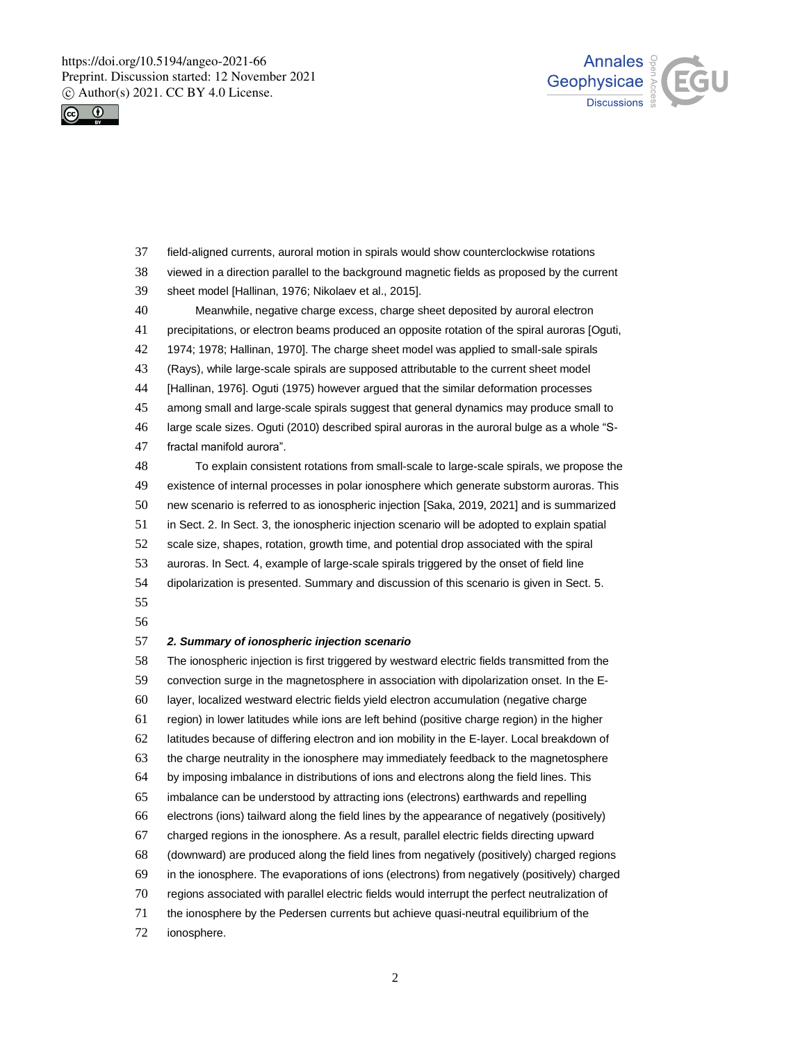https://doi.org/10.5194/angeo-2021-66 Preprint. Discussion started: 12 November 2021  $\circ$  Author(s) 2021. CC BY 4.0 License.





 viewed in a direction parallel to the background magnetic fields as proposed by the current sheet model [Hallinan, 1976; Nikolaev et al., 2015]. Meanwhile, negative charge excess, charge sheet deposited by auroral electron precipitations, or electron beams produced an opposite rotation of the spiral auroras [Oguti, 1974; 1978; Hallinan, 1970]. The charge sheet model was applied to small-sale spirals (Rays), while large-scale spirals are supposed attributable to the current sheet model [Hallinan, 1976]. Oguti (1975) however argued that the similar deformation processes among small and large-scale spirals suggest that general dynamics may produce small to large scale sizes. Oguti (2010) described spiral auroras in the auroral bulge as a whole "S- fractal manifold aurora". To explain consistent rotations from small-scale to large-scale spirals, we propose the existence of internal processes in polar ionosphere which generate substorm auroras. This new scenario is referred to as ionospheric injection [Saka, 2019, 2021] and is summarized in Sect. 2. In Sect. 3, the ionospheric injection scenario will be adopted to explain spatial scale size, shapes, rotation, growth time, and potential drop associated with the spiral auroras. In Sect. 4, example of large-scale spirals triggered by the onset of field line dipolarization is presented. Summary and discussion of this scenario is given in Sect. 5. *2. Summary of ionospheric injection scenario*

field-aligned currents, auroral motion in spirals would show counterclockwise rotations

 The ionospheric injection is first triggered by westward electric fields transmitted from the convection surge in the magnetosphere in association with dipolarization onset. In the E- layer, localized westward electric fields yield electron accumulation (negative charge region) in lower latitudes while ions are left behind (positive charge region) in the higher latitudes because of differing electron and ion mobility in the E-layer. Local breakdown of the charge neutrality in the ionosphere may immediately feedback to the magnetosphere by imposing imbalance in distributions of ions and electrons along the field lines. This imbalance can be understood by attracting ions (electrons) earthwards and repelling electrons (ions) tailward along the field lines by the appearance of negatively (positively) charged regions in the ionosphere. As a result, parallel electric fields directing upward (downward) are produced along the field lines from negatively (positively) charged regions in the ionosphere. The evaporations of ions (electrons) from negatively (positively) charged regions associated with parallel electric fields would interrupt the perfect neutralization of the ionosphere by the Pedersen currents but achieve quasi-neutral equilibrium of the ionosphere.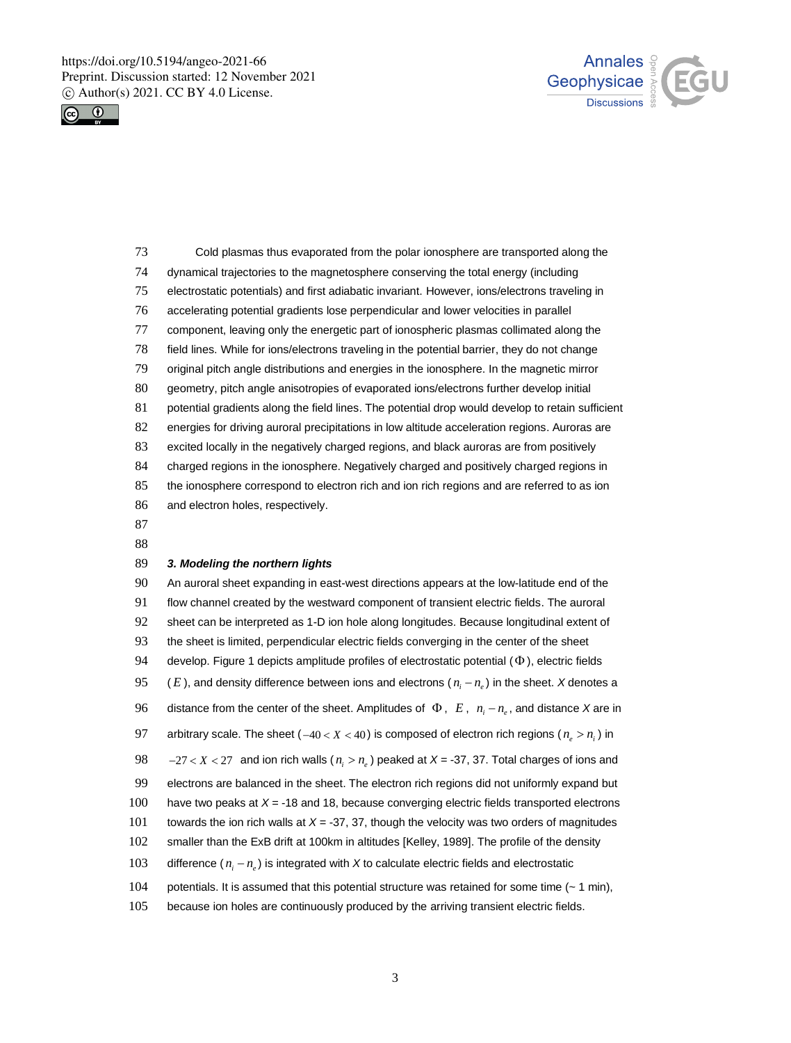https://doi.org/10.5194/angeo-2021-66 Preprint. Discussion started: 12 November 2021  $\circ$  Author(s) 2021. CC BY 4.0 License.





 Cold plasmas thus evaporated from the polar ionosphere are transported along the dynamical trajectories to the magnetosphere conserving the total energy (including electrostatic potentials) and first adiabatic invariant. However, ions/electrons traveling in accelerating potential gradients lose perpendicular and lower velocities in parallel component, leaving only the energetic part of ionospheric plasmas collimated along the field lines. While for ions/electrons traveling in the potential barrier, they do not change original pitch angle distributions and energies in the ionosphere. In the magnetic mirror geometry, pitch angle anisotropies of evaporated ions/electrons further develop initial 81 potential gradients along the field lines. The potential drop would develop to retain sufficient energies for driving auroral precipitations in low altitude acceleration regions. Auroras are excited locally in the negatively charged regions, and black auroras are from positively charged regions in the ionosphere. Negatively charged and positively charged regions in the ionosphere correspond to electron rich and ion rich regions and are referred to as ion and electron holes, respectively. 

## *3. Modeling the northern lights*

 An auroral sheet expanding in east-west directions appears at the low-latitude end of the flow channel created by the westward component of transient electric fields. The auroral sheet can be interpreted as 1-D ion hole along longitudes. Because longitudinal extent of the sheet is limited, perpendicular electric fields converging in the center of the sheet 94 develop. Figure 1 depicts amplitude profiles of electrostatic potential  $(\Phi)$ , electric fields (*E*), and density difference between ions and electrons ( $n_i - n_e$ ) in the sheet. *X* denotes a distance from the center of the sheet. Amplitudes of  $\Phi$ ,  $E$ ,  $n_i - n_e$ , and distance X are in arbitrary scale. The sheet (-40 < X < 40) is composed of electron rich regions ( $n_e > n_i$ ) in  $-27 < X < 27$  and ion rich walls ( $n_i > n_e$ ) peaked at *X* = -37, 37. Total charges of ions and electrons are balanced in the sheet. The electron rich regions did not uniformly expand but have two peaks at *X* = -18 and 18, because converging electric fields transported electrons towards the ion rich walls at *X* = -37, 37, though the velocity was two orders of magnitudes smaller than the ExB drift at 100km in altitudes [Kelley, 1989]. The profile of the density difference  $(n_i - n_e)$  is integrated with X to calculate electric fields and electrostatic 104 potentials. It is assumed that this potential structure was retained for some time (~ 1 min),

105 because ion holes are continuously produced by the arriving transient electric fields.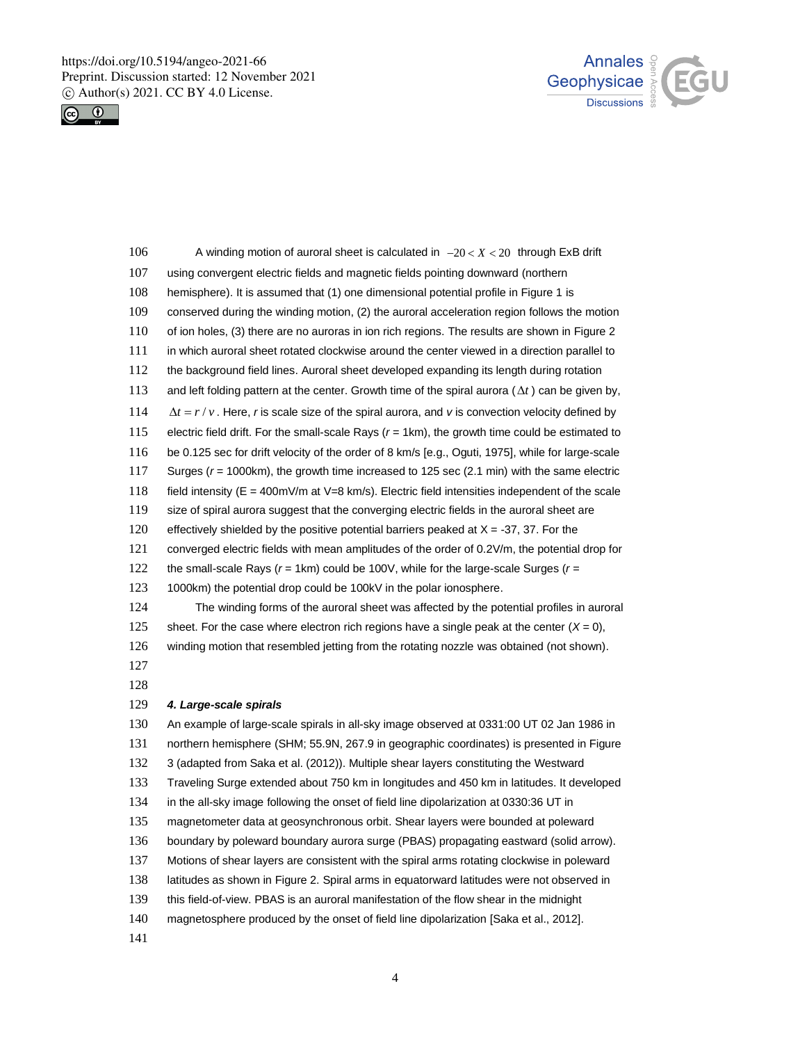https://doi.org/10.5194/angeo-2021-66 Preprint. Discussion started: 12 November 2021  $\circled{c}$  Author(s) 2021. CC BY 4.0 License.<br> $\circled{c}$ 





| 106 | A winding motion of auroral sheet is calculated in $-20 < X < 20$ through ExB drift                      |
|-----|----------------------------------------------------------------------------------------------------------|
| 107 | using convergent electric fields and magnetic fields pointing downward (northern                         |
| 108 | hemisphere). It is assumed that (1) one dimensional potential profile in Figure 1 is                     |
| 109 | conserved during the winding motion, (2) the auroral acceleration region follows the motion              |
| 110 | of ion holes, (3) there are no auroras in ion rich regions. The results are shown in Figure 2            |
| 111 | in which auroral sheet rotated clockwise around the center viewed in a direction parallel to             |
| 112 | the background field lines. Auroral sheet developed expanding its length during rotation                 |
| 113 | and left folding pattern at the center. Growth time of the spiral aurora ( $\Delta t$ ) can be given by, |
| 114 | $\Delta t = r/v$ . Here, r is scale size of the spiral aurora, and v is convection velocity defined by   |
| 115 | electric field drift. For the small-scale Rays $(r = 1km)$ , the growth time could be estimated to       |
| 116 | be 0.125 sec for drift velocity of the order of 8 km/s [e.g., Oguti, 1975], while for large-scale        |
| 117 | Surges ( $r = 1000$ km), the growth time increased to 125 sec (2.1 min) with the same electric           |
| 118 | field intensity ( $E = 400$ mV/m at V=8 km/s). Electric field intensities independent of the scale       |
| 119 | size of spiral aurora suggest that the converging electric fields in the auroral sheet are               |
| 120 | effectively shielded by the positive potential barriers peaked at $X = -37$ , 37. For the                |
| 121 | converged electric fields with mean amplitudes of the order of 0.2V/m, the potential drop for            |
| 122 | the small-scale Rays ( $r = 1$ km) could be 100V, while for the large-scale Surges ( $r =$               |
| 123 | 1000km) the potential drop could be 100kV in the polar ionosphere.                                       |
| 124 | The winding forms of the auroral sheet was affected by the potential profiles in auroral                 |
| 125 | sheet. For the case where electron rich regions have a single peak at the center $(X = 0)$ ,             |
| 126 | winding motion that resembled jetting from the rotating nozzle was obtained (not shown).                 |
| 127 |                                                                                                          |
| 128 |                                                                                                          |
| 129 | 4. Large-scale spirals                                                                                   |
| 130 | An example of large-scale spirals in all-sky image observed at 0331:00 UT 02 Jan 1986 in                 |
| 131 | northern hemisphere (SHM; 55.9N, 267.9 in geographic coordinates) is presented in Figure                 |
| 132 | 3 (adapted from Saka et al. (2012)). Multiple shear layers constituting the Westward                     |
| 133 | Traveling Surge extended about 750 km in longitudes and 450 km in latitudes. It developed                |
| 134 | in the all-sky image following the onset of field line dipolarization at 0330:36 UT in                   |
| 135 | magnetometer data at geosynchronous orbit. Shear layers were bounded at poleward                         |
| 136 | boundary by poleward boundary aurora surge (PBAS) propagating eastward (solid arrow).                    |
| 137 | Motions of shear layers are consistent with the spiral arms rotating clockwise in poleward               |
| 138 | latitudes as shown in Figure 2. Spiral arms in equatorward latitudes were not observed in                |
| 139 | this field-of-view. PBAS is an auroral manifestation of the flow shear in the midnight                   |
| 140 | magnetosphere produced by the onset of field line dipolarization [Saka et al., 2012].                    |
| 141 |                                                                                                          |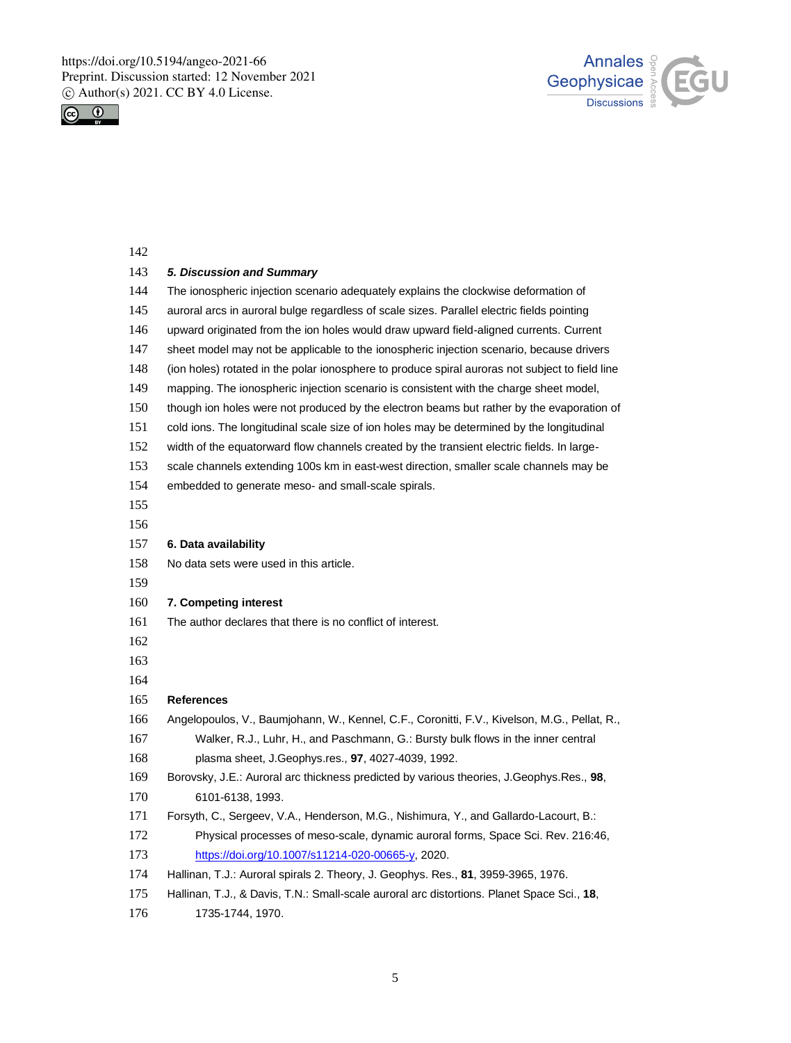https://doi.org/10.5194/angeo-2021-66 Preprint. Discussion started: 12 November 2021  $\circled{c}$  Author(s) 2021. CC BY 4.0 License.





| 142 |                                                                                                 |
|-----|-------------------------------------------------------------------------------------------------|
| 143 | 5. Discussion and Summary                                                                       |
| 144 | The ionospheric injection scenario adequately explains the clockwise deformation of             |
| 145 | auroral arcs in auroral bulge regardless of scale sizes. Parallel electric fields pointing      |
| 146 | upward originated from the ion holes would draw upward field-aligned currents. Current          |
| 147 | sheet model may not be applicable to the ionospheric injection scenario, because drivers        |
| 148 | (ion holes) rotated in the polar ionosphere to produce spiral auroras not subject to field line |
| 149 | mapping. The ionospheric injection scenario is consistent with the charge sheet model,          |
| 150 | though ion holes were not produced by the electron beams but rather by the evaporation of       |
| 151 | cold ions. The longitudinal scale size of ion holes may be determined by the longitudinal       |
| 152 | width of the equatorward flow channels created by the transient electric fields. In large-      |
| 153 | scale channels extending 100s km in east-west direction, smaller scale channels may be          |
| 154 | embedded to generate meso- and small-scale spirals.                                             |
| 155 |                                                                                                 |
| 156 |                                                                                                 |
| 157 | 6. Data availability                                                                            |
| 158 | No data sets were used in this article.                                                         |
| 159 |                                                                                                 |
| 160 | 7. Competing interest                                                                           |
| 161 | The author declares that there is no conflict of interest.                                      |
| 162 |                                                                                                 |
| 163 |                                                                                                 |
| 164 |                                                                                                 |
| 165 | <b>References</b>                                                                               |
| 166 | Angelopoulos, V., Baumjohann, W., Kennel, C.F., Coronitti, F.V., Kivelson, M.G., Pellat, R.,    |
| 167 | Walker, R.J., Luhr, H., and Paschmann, G.: Bursty bulk flows in the inner central               |
| 168 | plasma sheet, J.Geophys.res., 97, 4027-4039, 1992.                                              |
| 169 | Borovsky, J.E.: Auroral arc thickness predicted by various theories, J.Geophys.Res., 98,        |
| 170 | 6101-6138, 1993.                                                                                |
| 171 | Forsyth, C., Sergeev, V.A., Henderson, M.G., Nishimura, Y., and Gallardo-Lacourt, B.:           |
| 172 | Physical processes of meso-scale, dynamic auroral forms, Space Sci. Rev. 216:46,                |
| 173 | https://doi.org/10.1007/s11214-020-00665-y, 2020.                                               |
| 174 | Hallinan, T.J.: Auroral spirals 2. Theory, J. Geophys. Res., 81, 3959-3965, 1976.               |
| 175 | Hallinan, T.J., & Davis, T.N.: Small-scale auroral arc distortions. Planet Space Sci., 18,      |

1735-1744, 1970.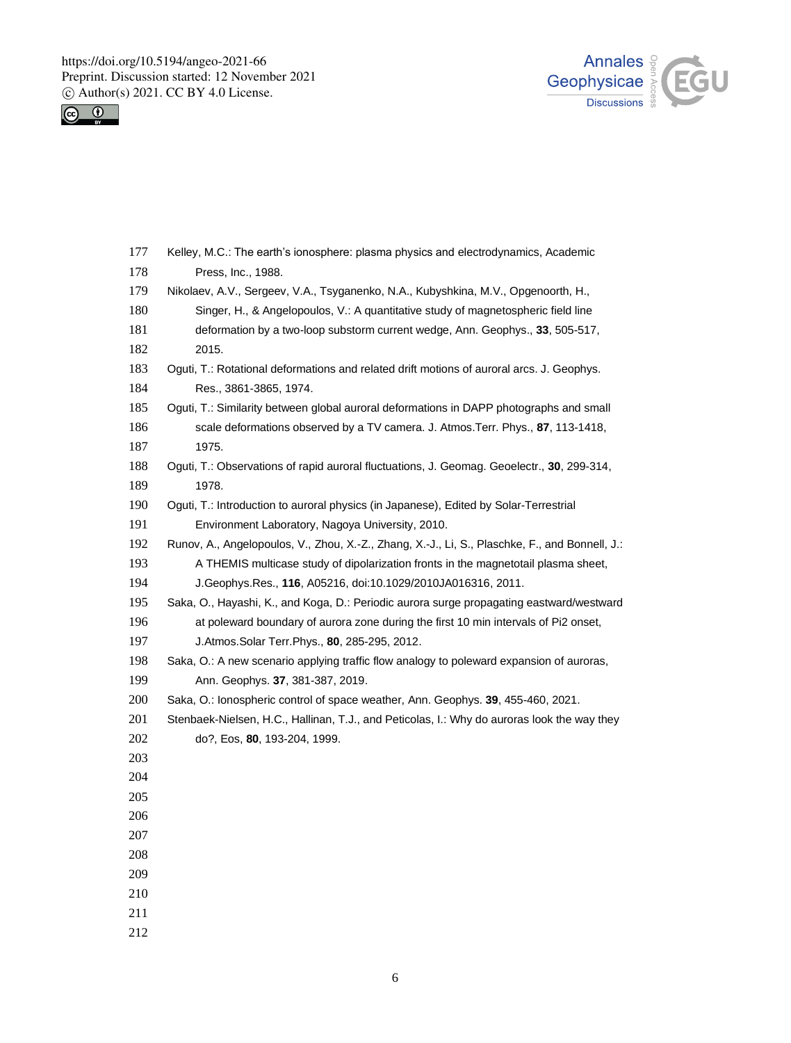https://doi.org/10.5194/angeo-2021-66 Preprint. Discussion started: 12 November 2021  $\circled{c}$  Author(s) 2021. CC BY 4.0 License.<br> $\circled{c}$ 





| 177 | Kelley, M.C.: The earth's ionosphere: plasma physics and electrodynamics, Academic             |
|-----|------------------------------------------------------------------------------------------------|
| 178 | Press, Inc., 1988.                                                                             |
| 179 | Nikolaev, A.V., Sergeev, V.A., Tsyganenko, N.A., Kubyshkina, M.V., Opgenoorth, H.,             |
| 180 | Singer, H., & Angelopoulos, V.: A quantitative study of magnetospheric field line              |
| 181 | deformation by a two-loop substorm current wedge, Ann. Geophys., 33, 505-517,                  |
| 182 | 2015.                                                                                          |
| 183 | Oguti, T.: Rotational deformations and related drift motions of auroral arcs. J. Geophys.      |
| 184 | Res., 3861-3865, 1974.                                                                         |
| 185 | Oguti, T.: Similarity between global auroral deformations in DAPP photographs and small        |
| 186 | scale deformations observed by a TV camera. J. Atmos. Terr. Phys., 87, 113-1418,               |
| 187 | 1975.                                                                                          |
| 188 | Oguti, T.: Observations of rapid auroral fluctuations, J. Geomag. Geoelectr., 30, 299-314,     |
| 189 | 1978.                                                                                          |
| 190 | Oguti, T.: Introduction to auroral physics (in Japanese), Edited by Solar-Terrestrial          |
| 191 | Environment Laboratory, Nagoya University, 2010.                                               |
| 192 | Runov, A., Angelopoulos, V., Zhou, X.-Z., Zhang, X.-J., Li, S., Plaschke, F., and Bonnell, J.: |
| 193 | A THEMIS multicase study of dipolarization fronts in the magnetotail plasma sheet,             |
| 194 | J.Geophys.Res., 116, A05216, doi:10.1029/2010JA016316, 2011.                                   |
| 195 | Saka, O., Hayashi, K., and Koga, D.: Periodic aurora surge propagating eastward/westward       |
| 196 | at poleward boundary of aurora zone during the first 10 min intervals of Pi2 onset,            |
| 197 | J.Atmos.Solar Terr.Phys., 80, 285-295, 2012.                                                   |
| 198 | Saka, O.: A new scenario applying traffic flow analogy to poleward expansion of auroras,       |
| 199 | Ann. Geophys. 37, 381-387, 2019.                                                               |
| 200 | Saka, O.: lonospheric control of space weather, Ann. Geophys. 39, 455-460, 2021.               |
| 201 | Stenbaek-Nielsen, H.C., Hallinan, T.J., and Peticolas, I.: Why do auroras look the way they    |
| 202 | do?, Eos, 80, 193-204, 1999.                                                                   |
| 203 |                                                                                                |
| 204 |                                                                                                |
| 205 |                                                                                                |
| 206 |                                                                                                |
| 207 |                                                                                                |
| 208 |                                                                                                |
| 209 |                                                                                                |
| 210 |                                                                                                |
| 211 |                                                                                                |
| 212 |                                                                                                |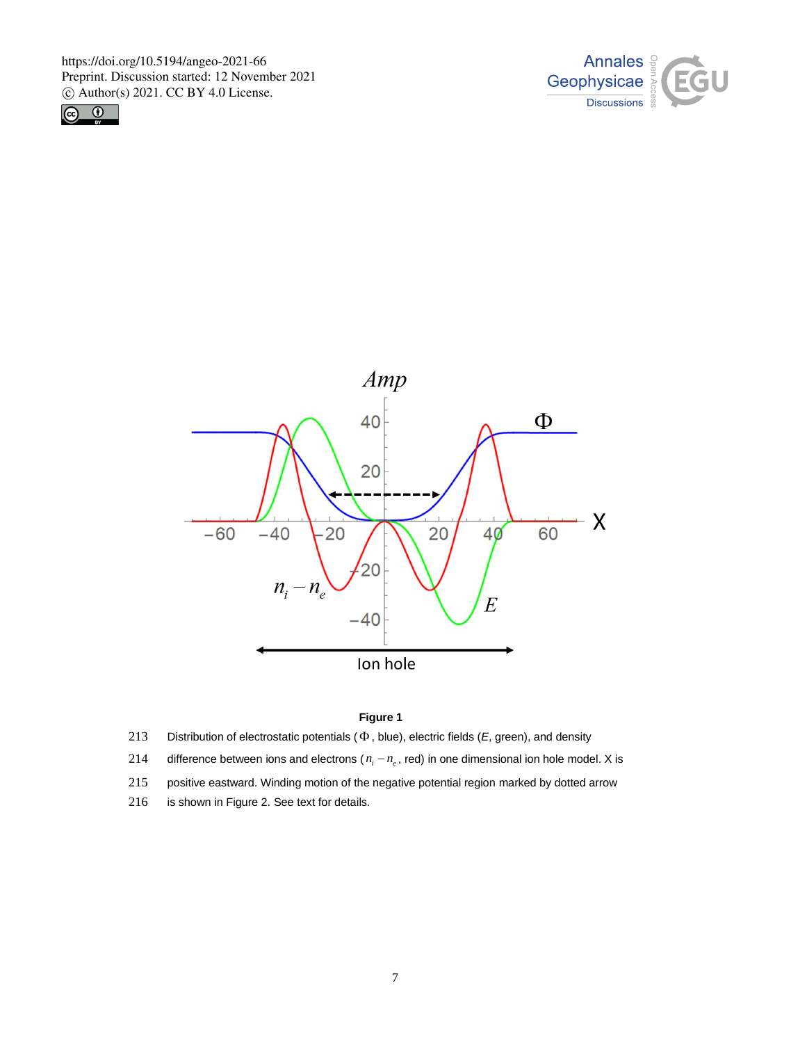https://doi.org/10.5194/angeo-2021-66 Preprint. Discussion started: 12 November 2021  $\odot$  Author(s) 2021. CC BY 4.0 License.







## **Figure 1**

- 213 Distribution of electrostatic potentials  $(\Phi,$  blue), electric fields  $(E,$  green), and density
- difference between ions and electrons ( $n_i n_e$ , red) in one dimensional ion hole model. X is 214
- 215 positive eastward. Winding motion of the negative potential region marked by dotted arrow
- 216 is shown in Figure 2. See text for details.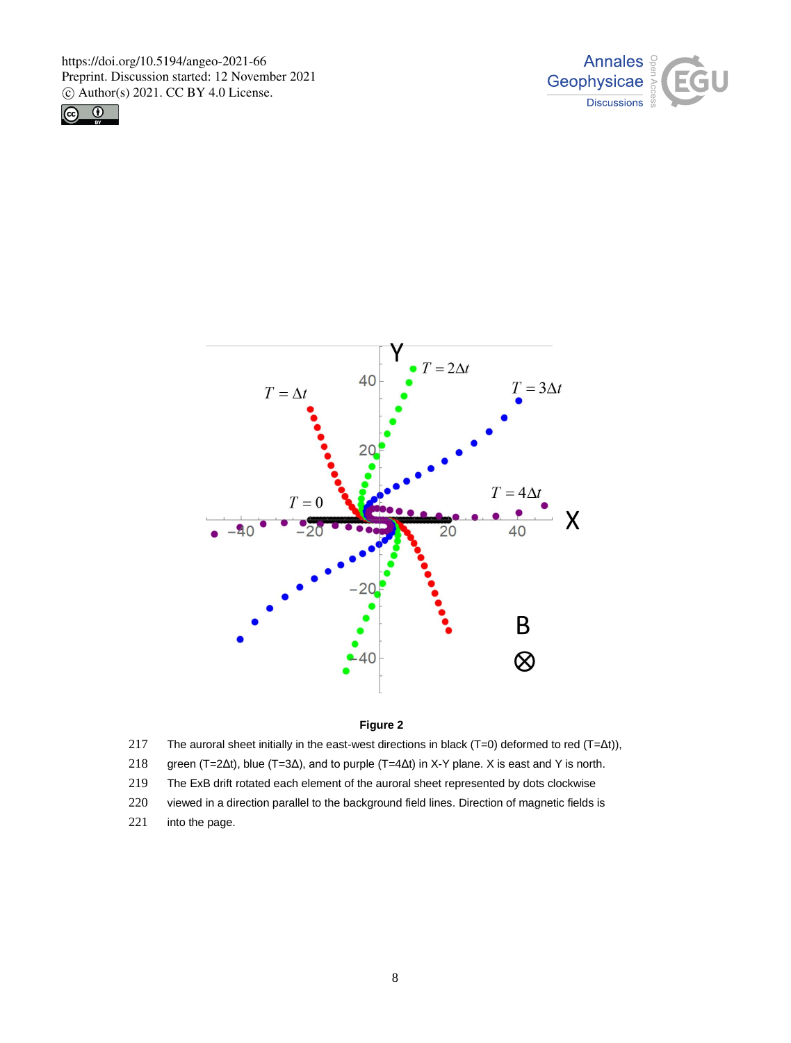https://doi.org/10.5194/angeo-2021-66 Preprint. Discussion started: 12 November 2021  $\odot$  Author(s) 2021. CC BY 4.0 License.







## **Figure 2**

- 217 The auroral sheet initially in the east-west directions in black (T=0) deformed to red (T=Δt)),
- 218 green (T=2Δt), blue (T=3Δ), and to purple (T=4Δt) in X-Y plane. X is east and Y is north.
- 219 The ExB drift rotated each element of the auroral sheet represented by dots clockwise
- 220 viewed in a direction parallel to the background field lines. Direction of magnetic fields is
- 221 into the page.